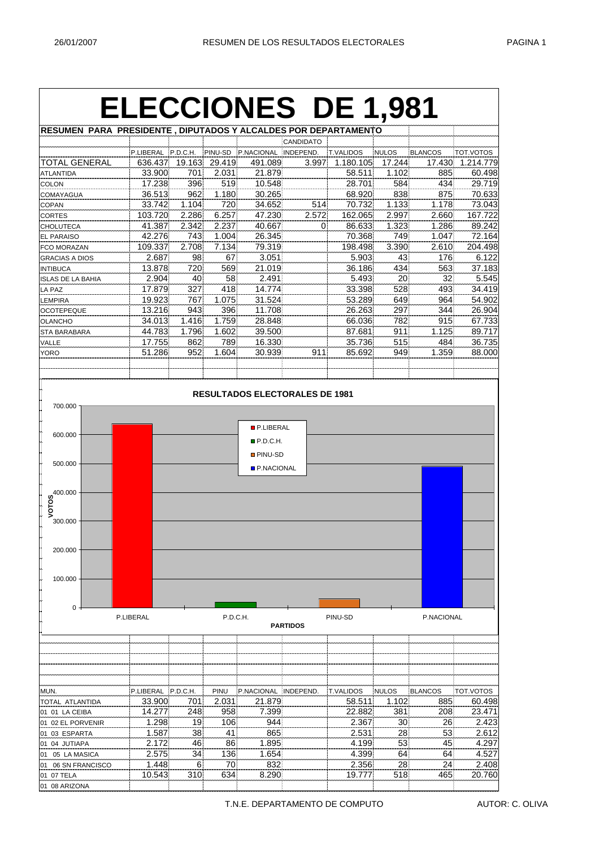## **ELECCIONES DE 1,981**

| RESUMEN PARA PRESIDENTE, DIPUTADOS Y ALCALDES POR DEPARTAMENTO |           |          |                 |                    |                  |                  |        |         |           |
|----------------------------------------------------------------|-----------|----------|-----------------|--------------------|------------------|------------------|--------|---------|-----------|
|                                                                |           |          |                 |                    | <b>CANDIDATO</b> |                  |        |         |           |
|                                                                | P.LIBERAL | P.D.C.H. |                 | PINU-SD P.NACIONAL | INDEPEND.        | <b>T.VALIDOS</b> | NULOS  | BLANCOS | TOT.VOTOS |
| TOTAL GENERAL                                                  | 636.437   | 19.163   | 29.419          | 491.089            | 3.997            | 1.180.105        | 17.244 | 17.430  | 1.214.779 |
| <b>ATLANTIDA</b>                                               | 33,900    | 701      | 2.031           | 21.879             |                  | 58.511           | 1.102  | 885     | 60.498    |
| <b>COLON</b>                                                   | 17.238    | 396      | 519             | 10.548             |                  | 28.701           | 584    | 434     | 29.719    |
| <b>COMAYAGUA</b>                                               | 36.513    | 962      | 1.180           | 30.265             |                  | 68.920           | 838    | 875     | 70.633    |
| COPAN                                                          | 33.742    | 1.104    | 720             | 34.652             | 514              | 70.732           | 1.133  | 1.178   | 73.043    |
| <b>CORTES</b>                                                  | 103.720   | 2.286    | 6.257           | 47.230             | 2.572            | 162.065          | 2.997  | 2.660   | 167.722   |
| <b>CHOLUTECA</b>                                               | 41.387    | 2.342    | 2.237           | 40.667             | $\Omega$         | 86.633           | 1.323  | 1.286   | 89.242    |
| <b>EL PARAISO</b>                                              | 42.276    | 743      | 1.004           | 26.345             |                  | 70.368           | 749    | 1.047   | 72.164    |
| <b>FCO MORAZAN</b>                                             | 109.337   | 2.708    | 7.134           | 79.319             |                  | 198.498          | 3.390  | 2.610   | 204.498   |
| <b>GRACIAS A DIOS</b>                                          | 2.687     | 98       | 67              | 3.051              |                  | 5.903            | 43     | 176     | 6.122     |
| <b>INTIBUCA</b>                                                | 13.878    | 720      | 569             | 21.019             |                  | 36.186           | 434    | 563     | 37.183    |
| <b>ISLAS DE LA BAHIA</b>                                       | 2.904     | 40       | 58 <sup>1</sup> | 2.491              |                  | 5.493            | 20     | 32      | 5.545     |
| LA PAZ                                                         | 17.879    | 327      | 418             | 14.774             |                  | 33.398           | 528    | 493     | 34.419    |
| LEMPIRA                                                        | 19.923    | 767      | 1.075           | 31.524             |                  | 53.289           | 649    | 964     | 54.902    |
| <b>OCOTEPEQUE</b>                                              | 13.216    | 943      | 396             | 11.708             |                  | 26.263           | 297    | 344     | 26.904    |
| <b>OLANCHO</b>                                                 | 34.013    | 1.416    | 1.759           | 28.848             |                  | 66.036           | 782    | 915     | 67.733    |
| <b>STA BARABARA</b>                                            | 44.783    | 1.796    | 1.602           | 39.500             |                  | 87.681           | 911    | 1.125   | 89.717    |
| VALLE                                                          | 17.755    | 862      | 789             | 16.330             |                  | 35.736           | 515    | 484     | 36.735    |
| <b>YORO</b>                                                    | 51.286    | 952      | 1.604           | 30.939             | 911              | 85.692           | 949    | 1.359   | 88.000    |
|                                                                |           |          |                 |                    |                  |                  |        |         |           |



T.N.E. DEPARTAMENTO DE COMPUTO AUTOR: C. OLIVA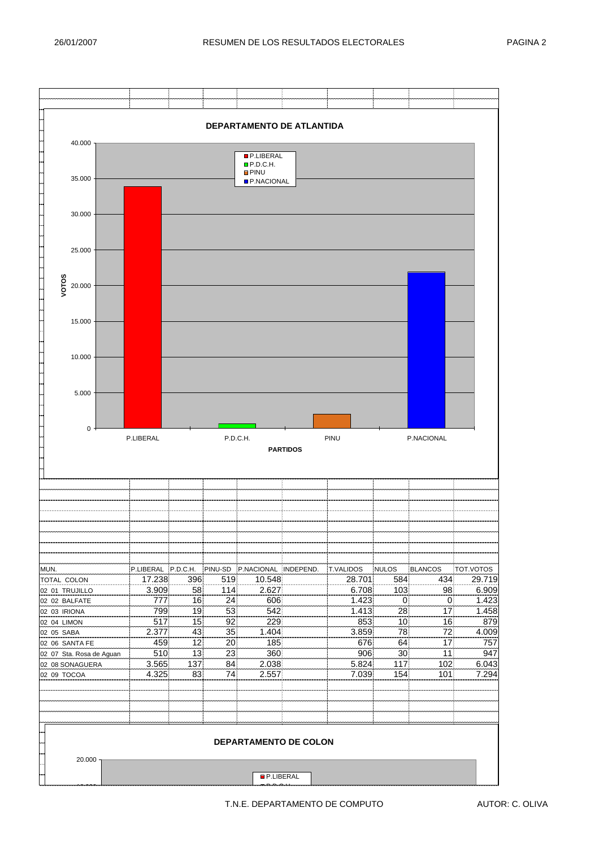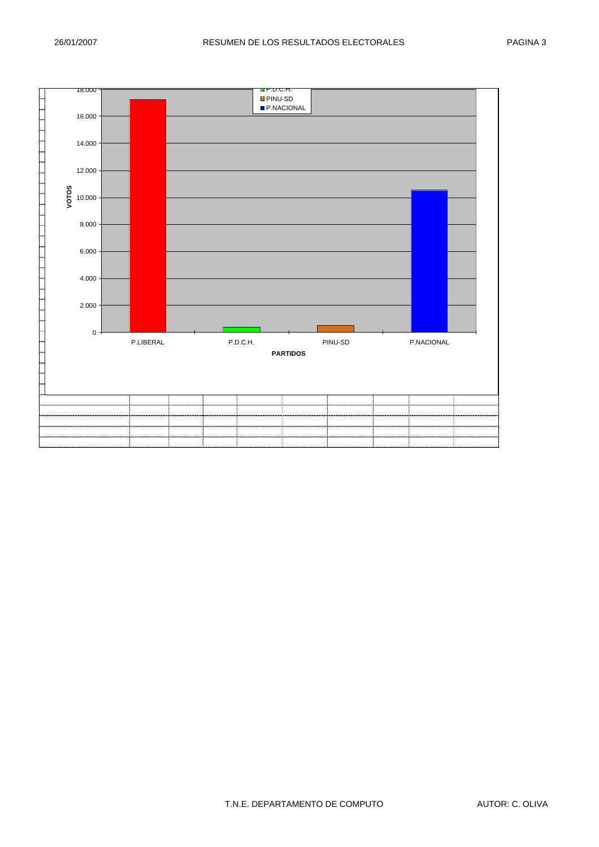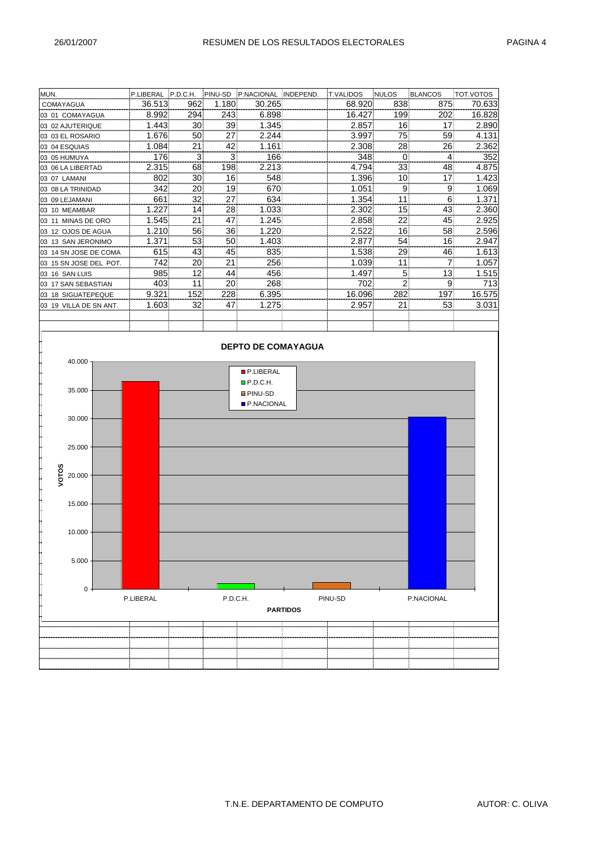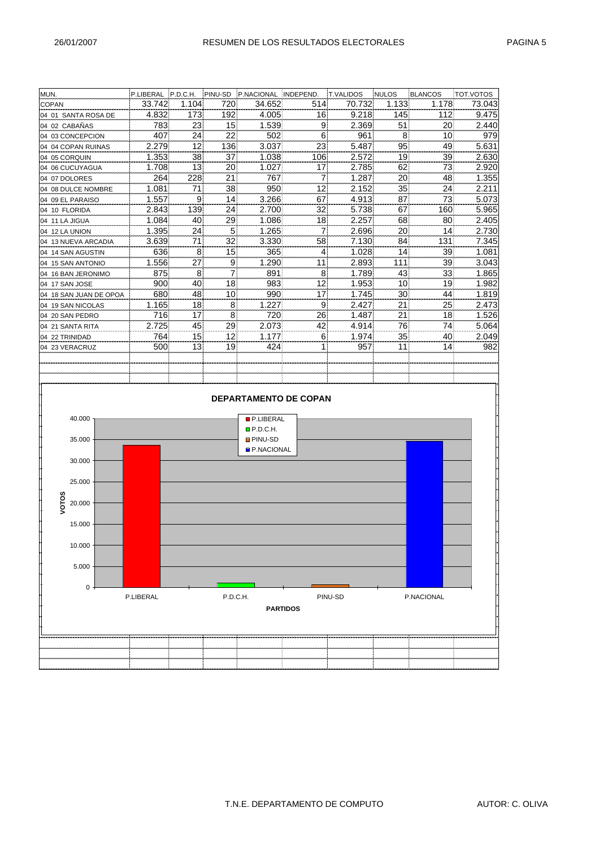| MUN.                   |           |                 |                | P.LIBERAL P.D.C.H. PINU-SD P.NACIONAL INDEPEND. |                              | <b>T.VALIDOS</b> | <b>NULOS</b>   | BLANCOS    | TOT.VOTOS |
|------------------------|-----------|-----------------|----------------|-------------------------------------------------|------------------------------|------------------|----------------|------------|-----------|
| COPAN                  | 33.742    | 1.104           | 720            | 34.652                                          | 514                          | 70.732           | 1.133          | 1.178      | 73.043    |
| 04 01 SANTA ROSA DE    | 4.832     | 173             | 192            | 4.005                                           | 16                           | 9.218            | 145            | 112        | 9.475     |
| 04 02 CABAÑAS          | 783       | 23              | 15             | 1.539                                           | 9                            | 2.369            | 51             | 20         | 2.440     |
| 04 03 CONCEPCION       | 407       | 24              | 22             | 502                                             | 6(                           | 961              | 8 <sup>1</sup> | 10         | 979       |
| 04 04 COPAN RUINAS     | 2.279     | 12              | 136            | 3.037                                           | 23                           | 5.487            | 95             | 49         | 5.631     |
| 04 05 CORQUIN          | 1.353     | 38              | 37             | 1.038                                           | 106                          | 2.572            | 19             | 39         | 2.630     |
| 04 06 CUCUYAGUA        | 1.708     | 13              | 20             | 1.027                                           | 17                           | 2.785            | 62             | 73         | 2.920     |
| 04 07 DOLORES          | 264       | 228             | 21             | 767                                             | $\overline{7}$               | 1.287            | 20             | 48         | 1.355     |
| 04 08 DULCE NOMBRE     | 1.081     | 71              | $38$           | 950                                             | 12                           | 2.152            | 35             | 24         | 2.211     |
| 04 09 EL PARAISO       | 1.557     | 9               | 14             | 3.266                                           | 67                           | 4.913            | 87             | 73         | 5.073     |
| 04 10 FLORIDA          | 2.843     | 139             | 24             | 2.700                                           | 32                           | 5.738            | 67             | 160        | 5.965     |
| 04 11 LA JIGUA         | 1.084     | 40              | 29             | 1.086                                           | 18                           | 2.257            | 68             | 80         | 2.405     |
| 04 12 LA UNION         | 1.395     | 24              | 5 <sup>1</sup> | 1.265                                           | $\overline{7}$               | 2.696            | 20             | 14         | 2.730     |
| 04 13 NUEVA ARCADIA    | 3.639     | 71              | 32             | 3.330                                           | 58                           | 7.130            | 84             | 131        | 7.345     |
| 04 14 SAN AGUSTIN      | 636       | 8 <sup>1</sup>  | 15             | 365                                             | $\vert 4 \vert$              | 1.028            | 14             | 39         | 1.081     |
| 04 15 SAN ANTONIO      | 1.556     | 27              | 9 <sup>1</sup> | 1.290                                           | 11                           | 2.893            | 111            | 39         | 3.043     |
| 04 16 BAN JERONIMO     | 875       | 8 <sup>1</sup>  | 71             | 891                                             | 8                            | 1.789            | 43             | 33         | 1.865     |
| 04 17 SAN JOSE         | 900       | 40              | 18             | 983                                             | 12                           | 1.953            | 10             | 19         | 1.982     |
| 04 18 SAN JUAN DE OPOA | 680       | 48              | 10             | 990                                             | 17                           | 1.745            | 30             | 44         | 1.819     |
| 04 19 SAN NICOLAS      | 1.165     | 18              | 8              | 1.227                                           | 9                            | 2.427            | 21             | 25         | 2.473     |
| 04 20 SAN PEDRO        | 716       | 17              | 8              | 720                                             | 26                           | 1.487            | 21             | 18         | 1.526     |
| 04 21 SANTA RITA       | 2.725     | 45              | 29             | 2.073                                           | 42                           | 4.914            | 76             | 74         | 5.064     |
| 04 22 TRINIDAD         | 764       | 15              | 12             | 1.177                                           | 6(                           | 1.974            | 35             | 40         | 2.049     |
| 04 23 VERACRUZ         | 500       | 13 <sub>1</sub> | 19             | 424                                             | 1                            | 957              | 11             | 14         | 982       |
|                        |           |                 |                |                                                 |                              |                  |                |            |           |
|                        |           |                 |                |                                                 |                              |                  |                |            |           |
|                        |           |                 |                |                                                 |                              |                  |                |            |           |
|                        |           |                 |                |                                                 |                              |                  |                |            |           |
|                        |           |                 |                |                                                 | <b>DEPARTAMENTO DE COPAN</b> |                  |                |            |           |
|                        |           |                 |                |                                                 |                              |                  |                |            |           |
| 40.000                 |           |                 |                | <b>P.LIBERAL</b>                                |                              |                  |                |            |           |
|                        |           |                 |                | P.D.C.H.                                        |                              |                  |                |            |           |
| 35.000                 |           |                 |                | <b>PINU-SD</b>                                  |                              |                  |                |            |           |
|                        |           |                 |                | P.NACIONAL                                      |                              |                  |                |            |           |
| 30.000                 |           |                 |                |                                                 |                              |                  |                |            |           |
|                        |           |                 |                |                                                 |                              |                  |                |            |           |
| 25.000                 |           |                 |                |                                                 |                              |                  |                |            |           |
|                        |           |                 |                |                                                 |                              |                  |                |            |           |
| <b>VOTOS</b><br>20.000 |           |                 |                |                                                 |                              |                  |                |            |           |
|                        |           |                 |                |                                                 |                              |                  |                |            |           |
| 15.000                 |           |                 |                |                                                 |                              |                  |                |            |           |
|                        |           |                 |                |                                                 |                              |                  |                |            |           |
| 10.000                 |           |                 |                |                                                 |                              |                  |                |            |           |
|                        |           |                 |                |                                                 |                              |                  |                |            |           |
| 5.000                  |           |                 |                |                                                 |                              |                  |                |            |           |
|                        |           |                 |                |                                                 |                              |                  |                |            |           |
| $\mathbf 0$            |           |                 |                |                                                 |                              |                  |                |            |           |
|                        | P.LIBERAL |                 | P.D.C.H.       |                                                 |                              | PINU-SD          |                | P.NACIONAL |           |
| <b>PARTIDOS</b>        |           |                 |                |                                                 |                              |                  |                |            |           |
|                        |           |                 |                |                                                 |                              |                  |                |            |           |
|                        |           |                 |                |                                                 |                              |                  |                |            |           |
|                        |           |                 |                |                                                 |                              |                  |                |            |           |
|                        |           |                 |                |                                                 |                              |                  |                |            |           |
|                        |           |                 |                |                                                 |                              |                  |                |            |           |
|                        |           |                 |                |                                                 |                              |                  |                |            |           |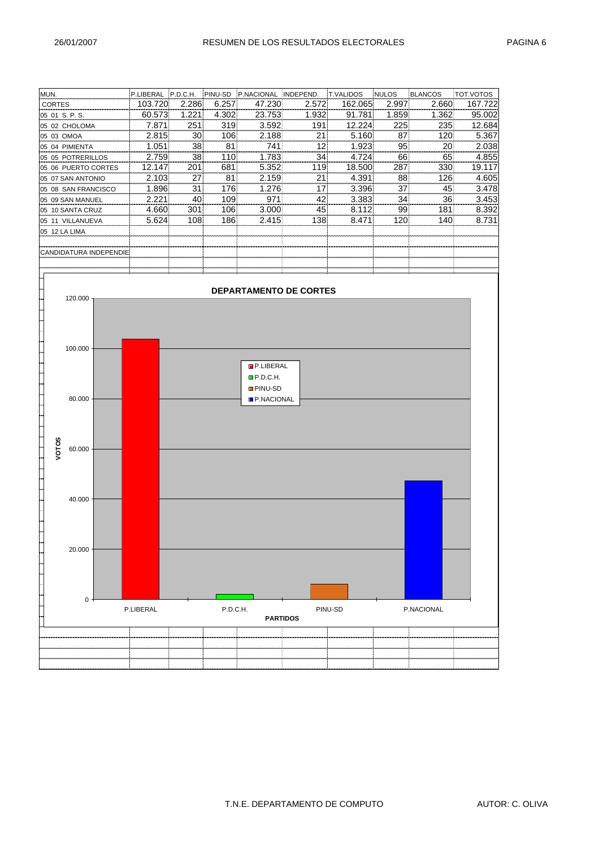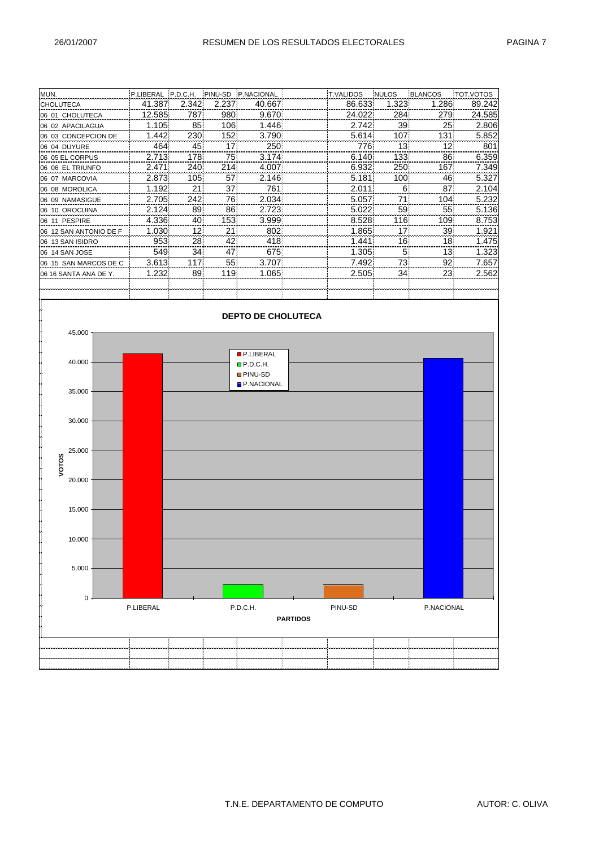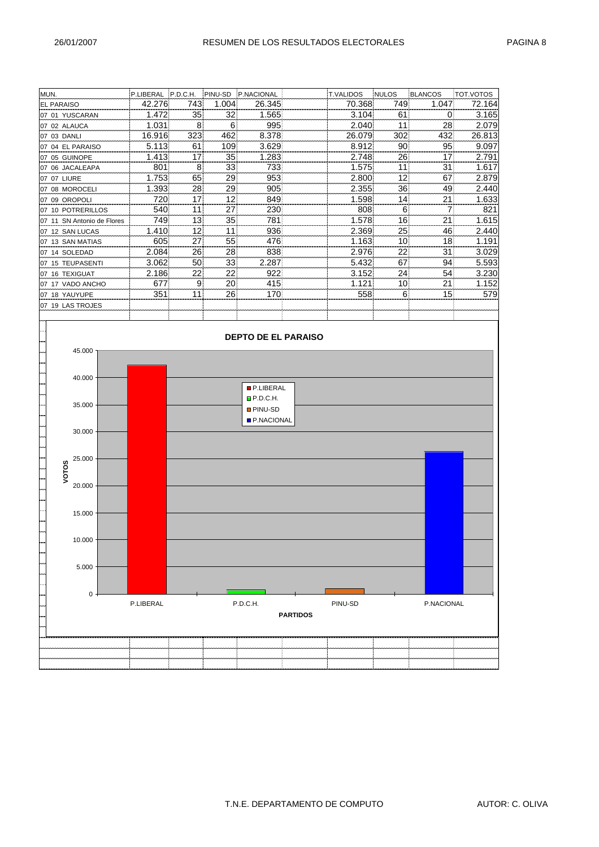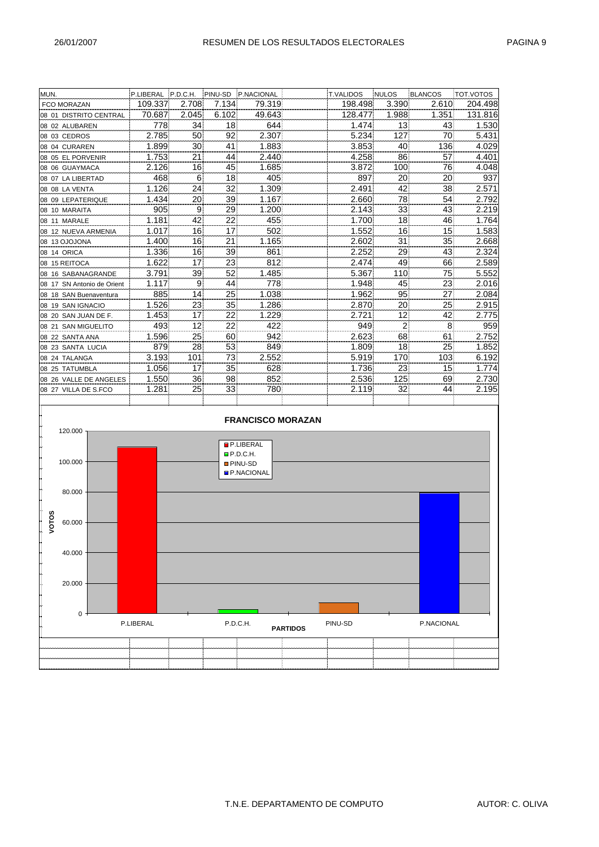| MUN.                       | P.LIBERAL P.D.C.H. |                 |                 | PINU-SD P.NACIONAL | <b>T.VALIDOS</b> | <b>NULOS</b>    | BLANCOS         | <b>TOT.VOTOS</b> |
|----------------------------|--------------------|-----------------|-----------------|--------------------|------------------|-----------------|-----------------|------------------|
| <b>FCO MORAZAN</b>         | 109.337            | 2.708           | 7.134           | 79.319             | 198.498          | 3.390           | 2.610           | 204.498          |
| 08 01 DISTRITO CENTRAL     | 70.687             | 2.045           | 6.102           | 49.643             | 128.477          | 1.988           | 1.351           | 131.816          |
| 08 02 ALUBAREN             | 778                | 34!             | 18              | 644                | 1.474            | 13              | 43              | 1.530            |
| 08 03 CEDROS               | 2.785              | 50              | 92              | 2.307              | 5.234            | 127             | 70              | 5.431            |
| 08 04 CURAREN              | 1.899              | 30 <sup>1</sup> | 41              | 1.883              | 3.853            | 40              | 136             | 4.029            |
| 08 05 EL PORVENIR          | 1.753              | 21              | 441             | 2.440              | 4.258            | 861             | 57              | 4.401            |
| 08 06 GUAYMACA             | 2.126              | 16              | 45              | 1.685              | 3.872            | 100             | 76              | 4.048            |
| 08 07 LA LIBERTAD          | 468                | 6               | 18 <sup>1</sup> | 405                | 897              | 20              | 20              | 937              |
| 08 08 LA VENTA             | 1.126              | 24 <sup>1</sup> | 32              | 1.309              | 2.491            | 42              | 38              | 2.571            |
| 08 09 LEPATERIQUE          | 1.434              | 20              | 39              | 1.167              | 2.660            | 78.             | 54              | 2.792            |
| 08 10 MARAITA              | 905                | 91              | 29              | 1.200              | 2.143            | 33              | 43              | 2.219            |
| 08 11 MARALE               | 1.181              | 42              | 22              | 455                | 1.700            | 18              | 46              | 1.764            |
| 08 12 NUEVA ARMENIA        | 1.017              | 16 <sup>1</sup> | 17              | 502                | 1.552            | 16              | 15              | 1.583            |
| 08 13 OJOJONA              | 1.400              | 16              | 21              | 1.165              | 2.602            | 31              | 35              | 2.668            |
| 08 14 ORICA                | 1.336              | 16              | 39              | 861                | 2.252            | 29              | 43 <sup>1</sup> | 2.324            |
| 08 15 REITOCA              | 1.622              | 17 <sup>1</sup> | 23              | 812                | 2.474            | 49              | 66              | 2.589            |
| 08 16 SABANAGRANDE         | 3.791              | 39              | 52              | 1.485              | 5.367            | 110             | 75              | 5.552            |
| 08 17 SN Antonio de Orient | 1.117              | 9               | 44              | 778                | 1.948            | 45              | 23              | 2.016            |
| 08 18 SAN Buenaventura     | 885                | 14              | 25              | 1.038              | 1.962            | 95              | 27              | 2.084            |
| 08 19 SAN IGNACIO          | 1.526              | 23              | 35!             | 1.286              | 2.870            | 20)             | 25              | 2.915            |
| 08 20 SAN JUAN DE F.       | 1.453              | 17!             | 22              | 1.229              | 2.721            | 12 <sup>1</sup> | 42              | 2.775            |
| 08 21 SAN MIGUELITO        | 493                | 12              | 22              | 422                | 949              | 2               | 8               | 959              |
| 08 22 SANTA ANA            | 1.596              | 25!             | 60              | 942                | 2.623            | 68              | 61              | 2.752            |
| 08 23 SANTA LUCIA          | 879                | 28              | 53              | 849                | 1.809            | 18              | 25              | 1.852            |
| 08 24 TALANGA              | 3.193              | 101             | 731             | 2.552              | 5.919            | 170             | 103             | 6.192            |
| 08 25 TATUMBLA             | 1.056              | 17 <sup>1</sup> | 35 <sub>1</sub> | 628                | 1.736            | 23              | 15 <sup>1</sup> | 1.774            |
| 08 26 VALLE DE ANGELES     | 1.550              | 36              | 98              | 852                | 2.536            | 125             | 69              | 2.730            |
| 08 27 VILLA DE S.FCO       | 1.281              | 25 <sup>1</sup> | 33              | 780                | 2.119            | 32              | 44              | 2.195            |
|                            |                    |                 |                 |                    |                  |                 |                 |                  |

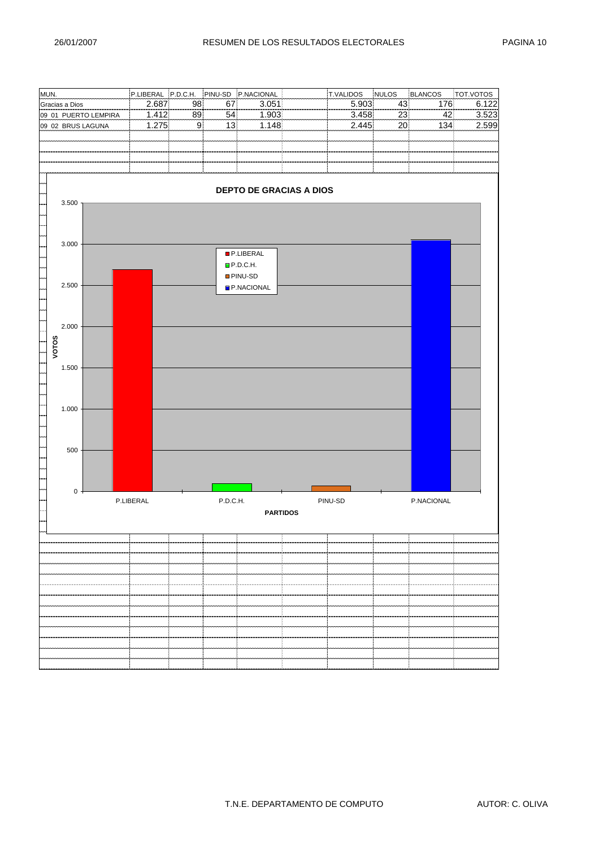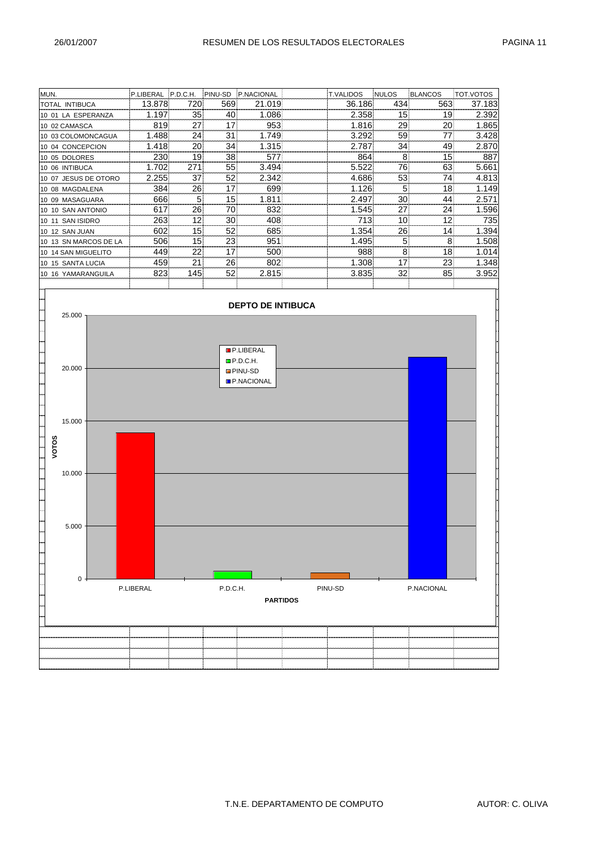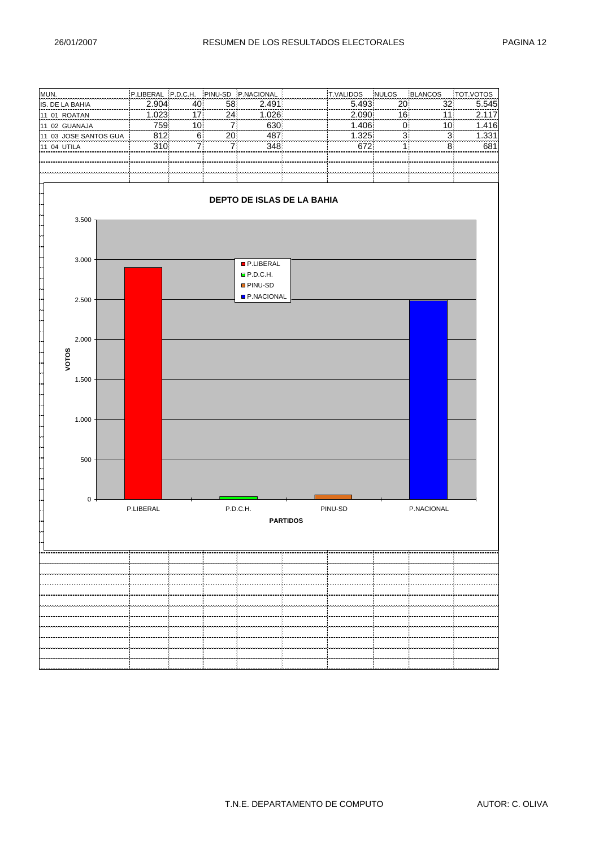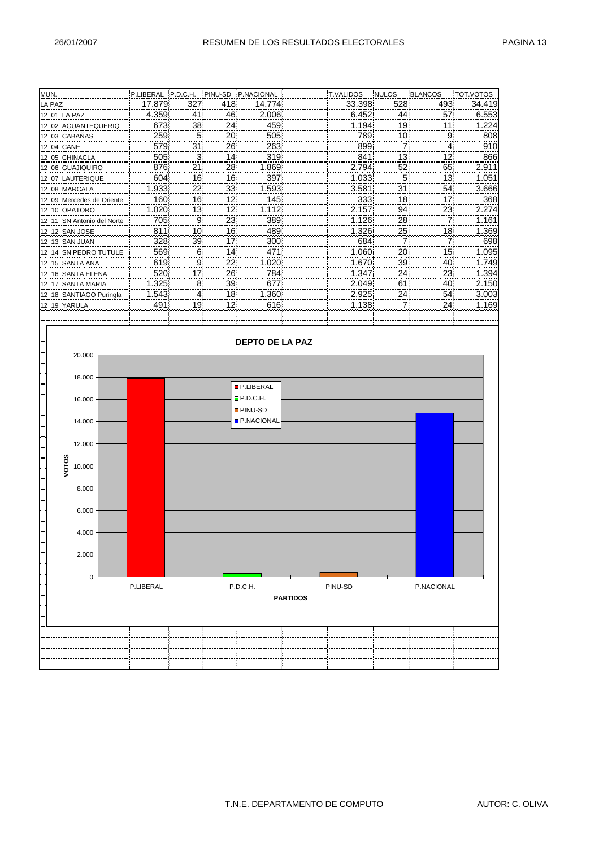| MUN.                       | P.LIBERAL P.D.C.H. |                |                 | PINU-SD P.NACIONAL | <b>T.VALIDOS</b> | <b>NULOS</b> | BLANCOS         | TOT.VOTOS |
|----------------------------|--------------------|----------------|-----------------|--------------------|------------------|--------------|-----------------|-----------|
| LA PAZ                     | 17.879             | 327            | 418             | 14.774             | 33.398           | 528          | 493             | 34.419    |
| 12 01 LA PAZ               | 4.359              | 41             | 461             | 2.006              | 6.452            | 44)          | 57              | 6.553     |
| 12 02 AGUANTEQUERIQ        | 673                | 38             | 24              | 459                | 1.194            | 19           | 11              | 1.224     |
| 12 03 CABAÑAS              | 259                | 5 <sup>1</sup> | 20              | 505                | 789              | 10)          | 9               | 808       |
| 12 04 CANE                 | 579                | 31             | 26              | 263                | 899              |              | 4               | 910       |
| 12 05 CHINACLA             | 505                | 3              | 14              | 319                | 841              | 13!          | 12              | 866       |
| 12 06 GUAJIQUIRO           | 876                | 21             | 28              | 1.869              | 2.794            | 52           | 65              | 2.911     |
| 12 07 LAUTERIQUE           | 604                | 16             | 16 <sup>1</sup> | 397                | 1.033            |              | 13              | 1.051     |
| 12 08 MARCALA              | 1.933              | 22             | 331             | .593               | 3.581            | 31           | 54              | 3.666     |
| 12 09 Mercedes de Oriente  | 1601               | 161            | 12              | 145                | 333              | 18           | 17              | 368       |
| 12 10 OPATORO              | 1.020              | 13             | 12              | 1.112              | 2.157            | 94           | 23              | 2.274     |
| 12 11 SN Antonio del Norte | 705                | 91             | 23              | 389                | 1.126            | 28           | 7               | 1.161     |
| 12 12 SAN JOSE             | 811                | 10             | 161             | 489                | 1.326            | 25!          | 18 <sup>1</sup> | 1.369     |
| 12 13 SAN JUAN             | 328                | 39             | 17 <sup>1</sup> | 300                | 684              |              | 7               | 698       |
| 12 14 SN PEDRO TUTULE      | 569                | 6              | 14              | 471                | 1.060            | 20           | 15              | 1.095     |
| 12 15 SANTA ANA            | 619                | 9              | 221             | 1.020              | 1.670            | 39           | 40              | 1.749     |
| 12 16 SANTA ELENA          | 520                | 17             | 26.             | 784                | 1.347            | 24)          | 231             | 1.394     |
| 12 17 SANTA MARIA          | 1.325              | 8              | 39              | 677                | 2.049            | 61           | 40              | 2.150     |
| 12 18 SANTIAGO Puringla    | 1.543              | 4              | 18              | 1.360              | 2.925            | 24)          | 54              | 3.003     |
| 12 19 YARULA               | 491                | 19             | 12              | 616                | 1.138            |              | 24              | 1.169     |
|                            |                    |                |                 |                    |                  |              |                 |           |

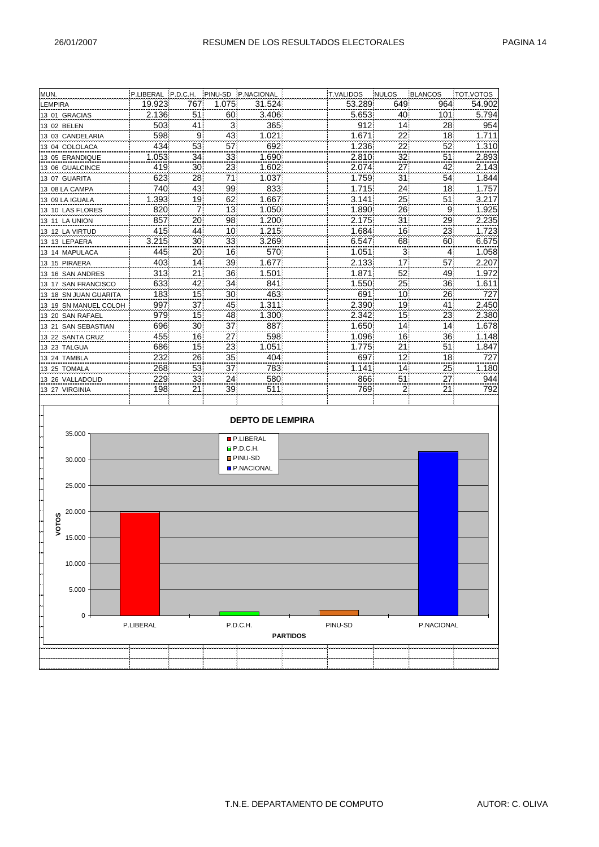| MUN.                                                                            |           |                 |                | P.LIBERAL P.D.C.H. PINU-SD P.NACIONAL                                                          |                 | T.VALIDOS NULOS |              | BLANCOS    | TOT.VOTOS |
|---------------------------------------------------------------------------------|-----------|-----------------|----------------|------------------------------------------------------------------------------------------------|-----------------|-----------------|--------------|------------|-----------|
| <b>LEMPIRA</b>                                                                  | 19.923    | 767             | 1.075          | 31.524                                                                                         |                 | 53.289          | 649          | 964        | 54.902    |
| 13 01 GRACIAS                                                                   | 2.136     | 51              | 60!            | 3.406                                                                                          |                 | 5.653           | 40           | 101        | 5.794     |
| 13 02 BELEN                                                                     | 503       | 41              | 3 <sup>1</sup> | 365                                                                                            |                 | 912             | 14           | 28         | 954       |
| 13 03 CANDELARIA                                                                | 598       | 9               | 43             | 1.021                                                                                          |                 | 1.671           | 22           | 18         | 1.711     |
| 13 04 COLOLACA                                                                  | 434       | 53              | 57             | 692                                                                                            |                 | 1.236           | 22           | 52         | 1.310     |
| 13 05 ERANDIQUE                                                                 | 1.053     | 34              | 33,            | 1.690                                                                                          |                 | 2.810           | 32           | 51         | 2.893     |
| 13 06 GUALCINCE                                                                 | 419       | 30 <sub>1</sub> | 23             | 1.602                                                                                          |                 | 2.074           | 27           | 42         | 2.143     |
| 13 07 GUARITA                                                                   | 623       | 28              | 71             | 1.037                                                                                          |                 | 1.759           | 31           | 54         | 1.844     |
| 13 08 LA CAMPA                                                                  | 740       | 43              | 99             | 833                                                                                            |                 | 1.715           | 24           | 18         | 1.757     |
| 1.393 <br>19 <br>13 09 LA IGUALA                                                |           |                 |                | 1.667<br>62                                                                                    |                 | 3.141           | 25           | 51         | 3.217     |
| 7 <br>820<br>13 10 LAS FLORES                                                   |           |                 |                | 1.050                                                                                          |                 | 1.890           | 26           | 9          | 1.925     |
| 13 11 LA UNION                                                                  | 857       | 20 <sub>1</sub> | 13<br>98       | 1.200                                                                                          |                 | 2.175           | 31           | 29         | 2.235     |
| 13 12 LA VIRTUD                                                                 | 415       | 44              | 10             | 1.215                                                                                          |                 | 1.684           | 16(          | 23         | 1.723     |
| 13 13 LEPAERA                                                                   | 3.215     | 30              | 33             | 3.269                                                                                          |                 | 6.547           | 68           | 60         | 6.675     |
| 13 14 MAPULACA                                                                  | 445       | 20 <sub>1</sub> | 16             | 570                                                                                            |                 | 1.051           | $\mathbf{3}$ | $\vert$    | 1.058     |
| 13 15 PIRAERA                                                                   | 403       | 14              | 39             | 1.677                                                                                          |                 | 2.133           | 17           | 57         | 2.207     |
| 13 16 SAN ANDRES                                                                | 313       | 21              | 36             | 1.501                                                                                          |                 | 1.871           | 52           | 49         | 1.972     |
| 13 17 SAN FRANCISCO                                                             | 633       | 42              | 34             | 841                                                                                            |                 | 1.550           | 25           | 36         | 1.611     |
| 13 18 SN JUAN GUARITA                                                           | 183       | 15 <sup>1</sup> | 30.            | 463                                                                                            |                 | 691             | 10           | 26         | 727       |
|                                                                                 | 997       | 37              | 45             | 1.311                                                                                          |                 | 2.390           | 19           | 41         | 2.450     |
| 13 19 SN MANUEL COLOH                                                           | 979       | 15              | 48             | 1.300                                                                                          |                 | 2.342           | 15           | 23         | 2.380     |
| 13 20 SAN RAFAEL                                                                |           |                 |                |                                                                                                |                 |                 |              |            |           |
| 13 21 SAN SEBASTIAN                                                             | 696       | 30 <sub>1</sub> | 37             | 887                                                                                            |                 | 1.650           | 14           | 14         | 1.678     |
| 13 22 SANTA CRUZ                                                                | 455       | 16              | 27             | 598                                                                                            |                 | 1.096           | 16           | 36         | 1.148     |
| 13 23 TALGUA                                                                    | 686       | 15              | 23             | 1.051                                                                                          |                 | 1.775           | 21           | 51         | 1.847     |
| 13 24 TAMBLA                                                                    | 232       | 26              | 35             | 404                                                                                            |                 | 697             | 12           | 18         | 727       |
| 13 25 TOMALA                                                                    | 268       | 53              | 37             | 783                                                                                            |                 | 1.141           | 14           | 25         | 1.180     |
| 13 26 VALLADOLID                                                                | 229       | 33              | 24             | 580                                                                                            |                 | 866             | 51           | 27         | 944       |
| 13 27 VIRGINIA                                                                  | 198       | 21              | 39             | 511                                                                                            |                 | 769             | $\mathbf{2}$ | 21         | 792       |
| 35.000<br>30.000<br>25.000<br>20.000<br>VOTOS<br>15.000<br>10.000<br>5.000<br>0 |           |                 |                | <b>DEPTO DE LEMPIRA</b><br><b>P.LIBERAL</b><br>P.D.C.H.<br><b>PINU-SD</b><br><b>P.NACIONAL</b> |                 |                 |              |            |           |
|                                                                                 | P.LIBERAL |                 |                | P.D.C.H.                                                                                       | <b>PARTIDOS</b> | PINU-SD         |              | P.NACIONAL |           |
|                                                                                 |           |                 |                |                                                                                                |                 |                 |              |            |           |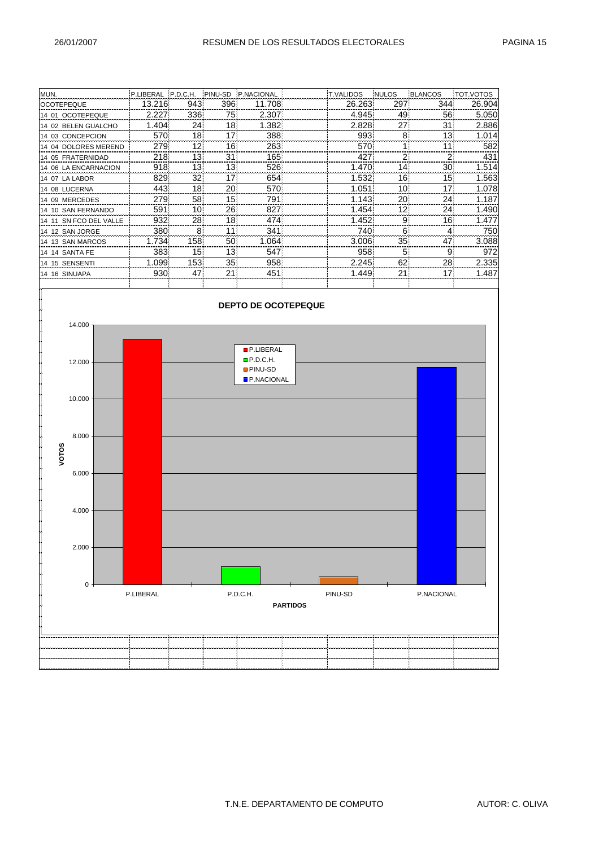| MUN.                   | P.LIBERAL IP.D.C.H. |                 | PINU-SD | <b>P.NACIONAL</b> | <b>T.VALIDOS</b> | <b>NULOS</b> | BLANCOS | TOT.VOTOS |
|------------------------|---------------------|-----------------|---------|-------------------|------------------|--------------|---------|-----------|
| <b>OCOTEPEQUE</b>      | 13.216              | 943             | 396     | 11.708            | 26.263           | 297          | 344     | 26.904    |
| 14 01 OCOTEPEQUE       | 2.227               | 336             | 75.     | 2.307             | 4.945            | 49)          | 56      | 5.050     |
| 14 02 BELEN GUALCHO    | 1.404               | 24!             | 18      | 1.382             | 2.828            | 27           | 31      | 2.886     |
| 14 03 CONCEPCION       | 570                 | 18              | 17!     | 388               | 993              | 8            | 13      | 1.014     |
| 14 04 DOLORES MEREND   | 279                 | 12              | 161     | 263               | 570              |              | 11      | 582       |
| 14 05 FRATERNIDAD      | 218                 | 13              | 31      | 165               | 427              |              |         | 431       |
| 14 06 LA ENCARNACION   | 918                 | 13!             | 13!     | 526               | 1.470            | 14)          | 30      | 1.514     |
| 14 07 LA LABOR         | 8291                | 32 <sub>0</sub> | 17!     | 654               | 1.532            | 16           | 15      | 1.563     |
| 14 08 LUCERNA          | 443                 | 18              | 20      | 570               | 1.051            | 10           | 17      | 1.078     |
| 14 09 MERCEDES         | 2791                | 58              | 15!     | 791               | 1.143            | 20)          | 24      | 1.187     |
| 14 10 SAN FERNANDO     | 591                 | 10 <sup>1</sup> | 26!     | 827               | 1.454            | 12)          | 24      | 1.490     |
| 14 11 SN FCO DEL VALLE | 932                 | 28              | 18      | 474               | 1.452            | 9            | 16      | 1.477     |
| 14 12 SAN JORGE        | 380                 | 8               | 11      | 341               | 740              | 61           | 4       | 750       |
| 14 13 SAN MARCOS       | 1.7341              | 158             | 50      | 1.064             | 3.006            | 35           | 47      | 3.088     |
| 14 14 SANTA FE         | 383                 | 15 <sup>1</sup> | 13!     | 547               | 958              | 5            | 9       | 972       |
| 14 15 SENSENTI         | 1.0991              | 153             | 35!     | 958               | 2.245            | 62           | 28      | 2.335     |
| 14 16 SINUAPA          | 930                 | 47              | 21      | 451               | 1.449            | 21           | 17      | 1.487     |

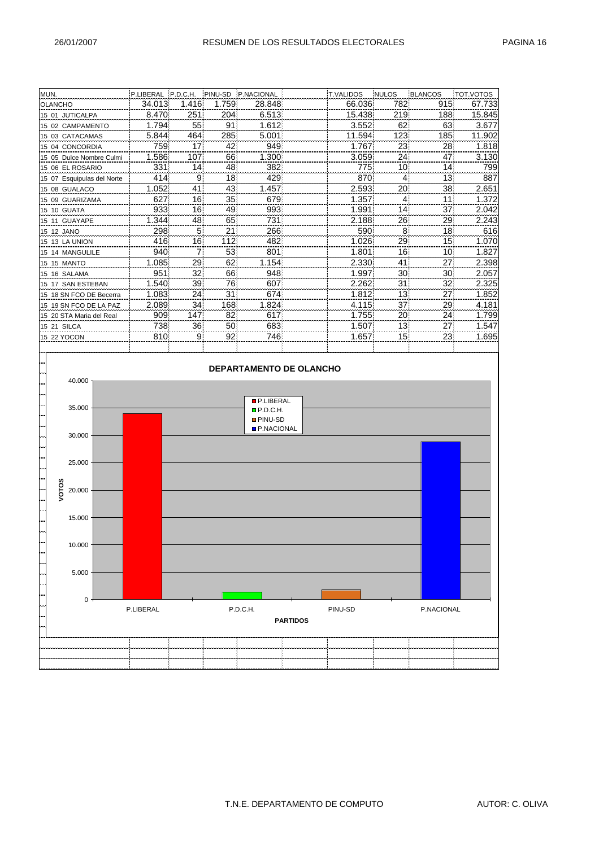| MUN.                                                                                   |           |                 |       | P.LIBERAL P.D.C.H. PINU-SD P.NACIONAL    |                 | <b>T.VALIDOS</b> | NULOS           | BLANCOS    | <b>TOT.VOTOS</b> |
|----------------------------------------------------------------------------------------|-----------|-----------------|-------|------------------------------------------|-----------------|------------------|-----------------|------------|------------------|
| <b>OLANCHO</b>                                                                         | 34.013    | 1.416           | 1.759 | 28.848                                   |                 | 66.036           | 782             | 915        | 67.733           |
| 15 01 JUTICALPA                                                                        | 8.470     | 251             | 204   | 6.513                                    |                 | 15.438           | 219             | 188        | 15.845           |
| 15 02 CAMPAMENTO                                                                       | 1.794     | 55              | 91    | 1.612                                    |                 | 3.552            | 62              | 63         | 3.677            |
| 15 03 CATACAMAS                                                                        | 5.844     | 464             | 285   | 5.001                                    |                 | 11.594           | 123             | 185        | 11.902           |
| 15 04 CONCORDIA                                                                        | 759       | 17 <sub>1</sub> | 42    | 949                                      |                 | 1.767            | 23              | 28         | 1.818            |
| 15 05 Dulce Nombre Culmi                                                               | 1.586     | 107             | 66    | 1.300                                    |                 | 3.059            | 24              | 47         | 3.130            |
| 15 06 EL ROSARIO                                                                       | 331       | 14              | 48    | 382                                      |                 | 7751             | 10              | 14         | 799              |
| 15 07 Esquipulas del Norte                                                             | 414       | 9               | 18    | 429                                      |                 | 870              | $\overline{4}$  | 13         | 887              |
| 15 08 GUALACO                                                                          | 1.052     | 41              | 43    | 1.457                                    |                 | 2.593            | 20 <sub>1</sub> | 38         | 2.651            |
| 15 09 GUARIZAMA                                                                        | 627       | 16              | 35    | 679                                      |                 | 1.357            | 41              | 11         | 1.372            |
| 15 10 GUATA                                                                            | 933       | 16              | 49    | 993                                      |                 | 1.991            | $ 14\rangle$    | 37         | 2.042            |
| 15 11 GUAYAPE                                                                          | 1.344     | 48              | 65    | 731                                      |                 | 2.188            | 26              | 29         | 2.243            |
| 15 12 JANO                                                                             | 298       | 5 <sup>5</sup>  | 21    | 266)                                     |                 | 590              | 8               | 18         | 616              |
| 15 13 LA UNION                                                                         | 416       | 16              | 112   | 482                                      |                 | 1.026            | 29              | 15         | 1.070            |
| 15 14 MANGULILE                                                                        | 940       | $\overline{7}$  | 53    | 801                                      |                 | 1.801            | 16              | 10         | 1.827            |
| 15 15 MANTO                                                                            | 1.085     | 29              | 62    | 1.154                                    |                 | 2.330            | 41              | 27         | 2.398            |
| 15 16 SALAMA                                                                           | 951       | 32              | 66    | 948                                      |                 | 1.997            | 30 <sub>1</sub> | 30         | 2.057            |
| 15 17 SAN ESTEBAN                                                                      | 1.540     | 39              | 76    | 607                                      |                 | 2.262            | 31              | 32         | 2.325            |
| 15 18 SN FCO DE Becerra                                                                | 1.083     | 24              | 31    | 674                                      |                 | 1.812            | 13              | 27         | 1.852            |
| 15 19 SN FCO DE LA PAZ                                                                 | 2.089     | 34              | 168   | 1.824                                    |                 | 4.115            | 37              | 29         | 4.181            |
| 15 20 STA Maria del Real                                                               | 909       | 147             | 82    | 617                                      |                 | 1.755            | 20              | 24         | 1.799            |
| 15 21 SILCA                                                                            | 738       | 36              | 50    | 683                                      |                 | 1.507            | 13              | 27         | 1.547            |
| 15 22 YOCON                                                                            | 810       | 9               | 92    | 746                                      |                 | 1.657            | 15              | 23         | 1.695            |
|                                                                                        |           |                 |       |                                          |                 |                  |                 |            |                  |
| 40.000<br>$35.000 -$                                                                   |           |                 |       | <b>P.LIBERAL</b><br>P.D.C.H.             |                 |                  |                 |            |                  |
| 30.000<br>25.000<br>თ<br>VOTO:<br>20.000<br>$15.000 \cdot$<br>10.000<br>5.000<br>$0 -$ | P.LIBERAL |                 |       | <b>PINU-SD</b><br>P.NACIONAL<br>P.D.C.H. | <b>PARTIDOS</b> | PINU-SD          |                 | P.NACIONAL |                  |
|                                                                                        |           |                 |       |                                          |                 |                  |                 |            |                  |
|                                                                                        |           |                 |       |                                          |                 |                  |                 |            |                  |
|                                                                                        |           |                 |       |                                          |                 |                  |                 |            |                  |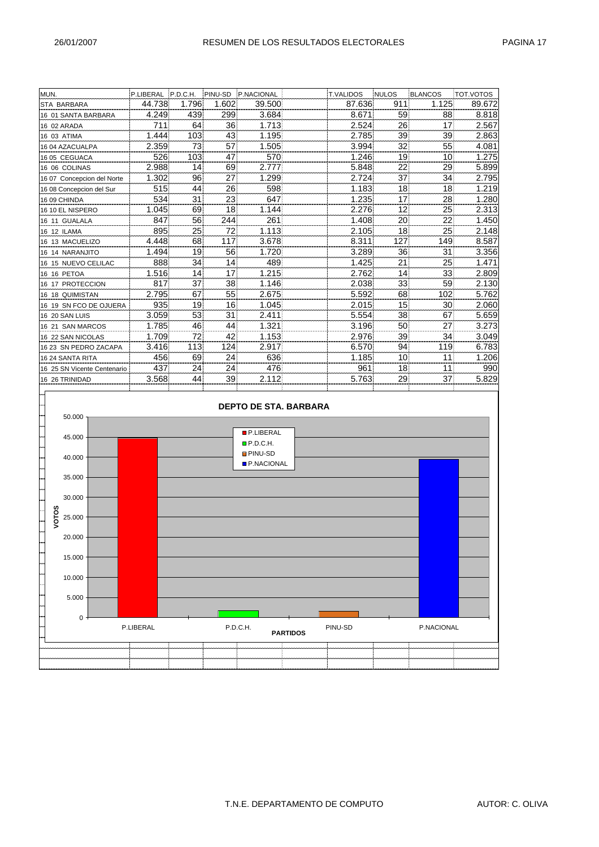| MUN.                        | P.LIBERAL P.D.C.H. |                 | <b>PINU-SD</b>  | P.NACIONAL | <b>T.VALIDOS</b> | <b>NULOS</b>    | BLANCOS | TOT.VOTOS |
|-----------------------------|--------------------|-----------------|-----------------|------------|------------------|-----------------|---------|-----------|
| <b>STA BARBARA</b>          | 44.738             | 1.796           | 1.602           | 39.500     | 87.636           | 911             | 1.125   | 89.672    |
| 16 01 SANTA BARBARA         | 4.249              | 439             | 299             | 3.684      | 8.671            | 59              | 88      | 8.818     |
| 16 02 ARADA                 | 711                | 64              | 36 <sup>1</sup> | 1.713      | 2.524            | 26              | 17      | 2.567     |
| 16 03 ATIMA                 | 1.444              | 103             | 43              | 1.195      | 2.785            | 39              | 39      | 2.863     |
| 16 04 AZACUALPA             | 2.359              | 73              | 57              | 1.505      | 3.994            | 32              | 55      | 4.081     |
| 16 05 CEGUACA               | 526                | 103             | 47              | 570        | 1.246            | 19              | 10      | 1.275     |
| 16 06 COLINAS               | 2.988              | 14              | 69              | 2.777      | 5.848            | 22              | 29      | 5.899     |
| 16 07 Concepcion del Norte  | 1.302              | 96              | 27              | 1.299      | 2.724            | 37              | 34      | 2.795     |
| 16 08 Concepcion del Sur    | 515                | 44              | 26              | 598        | 1.183            | 18              | 18      | 1.219     |
| 16 09 CHINDA                | 534                | 31              | 23              | 647        | 1.235            | 17              | 28      | 1.280     |
| 16 10 EL NISPERO            | 1.045              | 69              | 18              | 1.144      | 2.276            | 12 <sub>1</sub> | 25      | 2.313     |
| 16 11 GUALALA               | 847                | 56              | 244             | 261        | 1.408            | 20              | 22      | 1.450     |
| 16 12 ILAMA                 | 895                | 25!             | 721             | 1.113      | 2.105            | 18              | 25      | 2.148     |
| 16 13 MACUELIZO             | 4.448              | 68              | 117             | 3.678      | 8.311            | 127             | 149     | 8.587     |
| 16 14 NARANJITO             | 1.494              | 19              | 56              | 1.720      | 3.289            | 36              | 31      | 3.356     |
| 16 15 NUEVO CELILAC         | 888                | 34 <sup>1</sup> | 14              | 489        | 1.425            | 21              | 25      | 1.471     |
| 16 16 PETOA                 | 1.516              | 14              | 17              | 1.215      | 2.762            | 14              | 33      | 2.809     |
| 16 17 PROTECCION            | 817                | 37              | 38              | 1.146      | 2.038            | 33              | 59      | 2.130     |
| 16 18 QUIMISTAN             | 2.795              | 67              | 55              | 2.675      | 5.592            | 68              | 102     | 5.762     |
| 16 19 SN FCO DE OJUERA      | 935                | 19 <sub>1</sub> | 16              | 1.045      | 2.015            | 15 <sup>1</sup> | 30      | 2.060     |
| <b>16 20 SAN LUIS</b>       | 3.059              | 53              | 31              | 2.411      | 5.554            | 38              | 67      | 5.659     |
| 16 21 SAN MARCOS            | 1.785              | 46              | 44              | 1.321      | 3.196            | 50              | 27      | 3.273     |
| 16 22 SAN NICOLAS           | 1.709              | 72              | 42              | 1.153      | 2.976            | 39              | 34      | 3.049     |
| 16 23 SN PEDRO ZACAPA       | 3.416              | 113             | 124             | 2.917      | 6.570            | 94              | 119     | 6.783     |
| 16 24 SANTA RITA            | 456                | 69              | 24              | 636        | 1.185            | 10)             | 11      | 1.206     |
| 16 25 SN Vicente Centenario | 437                | 24              | 24              | 476        | 961              | 18              | 11      | 990       |
| 16 26 TRINIDAD              | 3.568              | 44              | 39              | 2.112      | 5.763            | 29              | 37      | 5.829     |
|                             |                    |                 |                 |            |                  |                 |         |           |
|                             |                    |                 |                 |            |                  |                 |         |           |

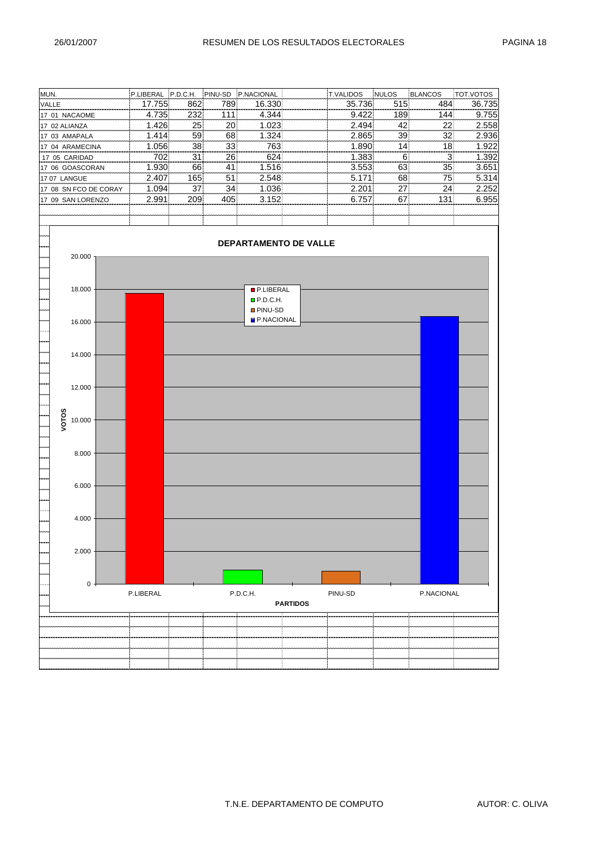| MUN.                                        |                                                            |  |           |     |      | P.LIBERAL P.D.C.H. PINU-SD P.NACIONAL |                 | T.VALIDOS | NULOS | BLANCOS                        | TOT.VOTOS |
|---------------------------------------------|------------------------------------------------------------|--|-----------|-----|------|---------------------------------------|-----------------|-----------|-------|--------------------------------|-----------|
| VALLE                                       |                                                            |  | 17.755    | 862 | 789  | 16.330                                |                 | 35.736    | 515   | 484                            | 36.735    |
|                                             | 17 01 NACAOME                                              |  | 4.735     | 232 | 111] | 4.344                                 |                 | 9.422     | 189   | 144                            | 9.755     |
|                                             | 17 02 ALIANZA                                              |  | 1.426     | 25  | 20   | 1.023                                 |                 | 2.494     | 42    | 22                             | 2.558     |
|                                             | 17 03 AMAPALA                                              |  | 1.414     | 59  | 68   | 1.324                                 |                 | 2.865     | 39    | 32                             | 2.936     |
|                                             | 17 04 ARAMECINA                                            |  | 1.056     | 38  | 33   | 763                                   |                 | 1.890     | 14    | 18                             | 1.922     |
|                                             | 702<br>624<br>1.383<br>26<br>17 05 CARIDAD<br>31           |  |           |     |      |                                       |                 |           |       | 6 <sup>1</sup><br>$\mathbf{3}$ | 1.392     |
|                                             | 17 06 GOASCORAN                                            |  | 1.930     | 66  | 41   | 1.516                                 |                 | 3.553     | 63    | 35                             | 3.651     |
| 2.407<br>165<br>51<br>2.548<br>17 07 LANGUE |                                                            |  |           |     |      |                                       |                 | 5.171     | 68    | 75                             | 5.314     |
|                                             | 17 08 SN FCO DE CORAY                                      |  | 1.094     | 37  | 34   | 1.036                                 |                 | 2.201     | 27    | 24                             | 2.252     |
|                                             | 3.152<br>2.991<br>209<br>405<br>6.757<br>17 09 SAN LORENZO |  |           |     |      |                                       |                 |           | 67    | 131                            | 6.955     |
|                                             |                                                            |  |           |     |      |                                       |                 |           |       |                                |           |
|                                             |                                                            |  |           |     |      |                                       |                 |           |       |                                |           |
|                                             | 20.000                                                     |  |           |     |      | DEPARTAMENTO DE VALLE                 |                 |           |       |                                |           |
|                                             | 18.000                                                     |  |           |     |      | P.LIBERAL                             |                 |           |       |                                |           |
|                                             |                                                            |  |           |     |      | P.D.C.H.                              |                 |           |       |                                |           |
|                                             |                                                            |  |           |     |      | <b>PINU-SD</b>                        |                 |           |       |                                |           |
|                                             | 16.000                                                     |  |           |     |      | P.NACIONAL                            |                 |           |       |                                |           |
|                                             |                                                            |  |           |     |      |                                       |                 |           |       |                                |           |
|                                             |                                                            |  |           |     |      |                                       |                 |           |       |                                |           |
|                                             | 14.000                                                     |  |           |     |      |                                       |                 |           |       |                                |           |
|                                             |                                                            |  |           |     |      |                                       |                 |           |       |                                |           |
|                                             |                                                            |  |           |     |      |                                       |                 |           |       |                                |           |
|                                             | 12.000                                                     |  |           |     |      |                                       |                 |           |       |                                |           |
|                                             |                                                            |  |           |     |      |                                       |                 |           |       |                                |           |
|                                             |                                                            |  |           |     |      |                                       |                 |           |       |                                |           |
|                                             | 10.000                                                     |  |           |     |      |                                       |                 |           |       |                                |           |
|                                             | VOTOS                                                      |  |           |     |      |                                       |                 |           |       |                                |           |
|                                             |                                                            |  |           |     |      |                                       |                 |           |       |                                |           |
|                                             |                                                            |  |           |     |      |                                       |                 |           |       |                                |           |
|                                             | 8.000                                                      |  |           |     |      |                                       |                 |           |       |                                |           |
|                                             |                                                            |  |           |     |      |                                       |                 |           |       |                                |           |
|                                             |                                                            |  |           |     |      |                                       |                 |           |       |                                |           |
|                                             | 6.000                                                      |  |           |     |      |                                       |                 |           |       |                                |           |
|                                             |                                                            |  |           |     |      |                                       |                 |           |       |                                |           |
|                                             |                                                            |  |           |     |      |                                       |                 |           |       |                                |           |
|                                             | 4.000                                                      |  |           |     |      |                                       |                 |           |       |                                |           |
|                                             |                                                            |  |           |     |      |                                       |                 |           |       |                                |           |
|                                             |                                                            |  |           |     |      |                                       |                 |           |       |                                |           |
|                                             | 2.000                                                      |  |           |     |      |                                       |                 |           |       |                                |           |
|                                             |                                                            |  |           |     |      |                                       |                 |           |       |                                |           |
|                                             |                                                            |  |           |     |      |                                       |                 |           |       |                                |           |
|                                             | 0                                                          |  |           |     |      |                                       |                 |           |       |                                |           |
|                                             |                                                            |  | P.LIBERAL |     |      | P.D.C.H.                              |                 | PINU-SD   |       | P.NACIONAL                     |           |
|                                             |                                                            |  |           |     |      |                                       | <b>PARTIDOS</b> |           |       |                                |           |
|                                             |                                                            |  |           |     |      |                                       |                 |           |       |                                |           |
|                                             |                                                            |  |           |     |      |                                       |                 |           |       |                                |           |
|                                             |                                                            |  |           |     |      |                                       |                 |           |       |                                |           |
|                                             |                                                            |  |           |     |      |                                       |                 |           |       |                                |           |
|                                             |                                                            |  |           |     |      |                                       |                 |           |       |                                |           |